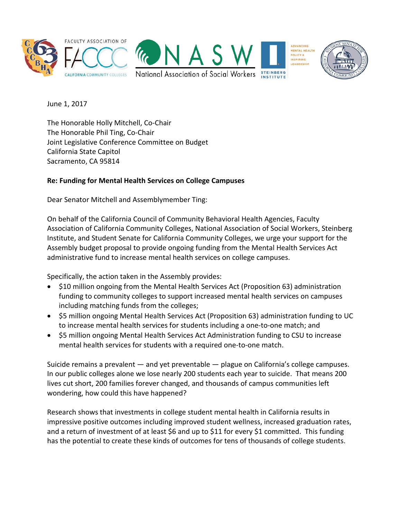

June 1, 2017

The Honorable Holly Mitchell, Co-Chair The Honorable Phil Ting, Co-Chair Joint Legislative Conference Committee on Budget California State Capitol Sacramento, CA 95814

## **Re: Funding for Mental Health Services on College Campuses**

Dear Senator Mitchell and Assemblymember Ting:

On behalf of the California Council of Community Behavioral Health Agencies, Faculty Association of California Community Colleges, National Association of Social Workers, Steinberg Institute, and Student Senate for California Community Colleges, we urge your support for the Assembly budget proposal to provide ongoing funding from the Mental Health Services Act administrative fund to increase mental health services on college campuses.

Specifically, the action taken in the Assembly provides:

- \$10 million ongoing from the Mental Health Services Act (Proposition 63) administration funding to community colleges to support increased mental health services on campuses including matching funds from the colleges;
- \$5 million ongoing Mental Health Services Act (Proposition 63) administration funding to UC to increase mental health services for students including a one-to-one match; and
- \$5 million ongoing Mental Health Services Act Administration funding to CSU to increase mental health services for students with a required one-to-one match.

Suicide remains a prevalent — and yet preventable — plague on California's college campuses. In our public colleges alone we lose nearly 200 students each year to suicide. That means 200 lives cut short, 200 families forever changed, and thousands of campus communities left wondering, how could this have happened?

Research shows that investments in college student mental health in California results in impressive positive outcomes including improved student wellness, increased graduation rates, and a return of investment of at least \$6 and up to \$11 for every \$1 committed. This funding has the potential to create these kinds of outcomes for tens of thousands of college students.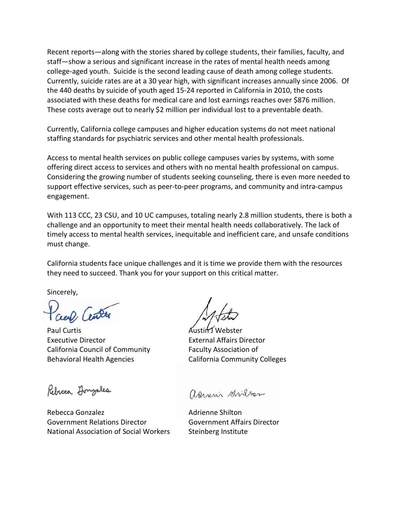Recent reports—along with the stories shared by college students, their families, faculty, and staff—show a serious and significant increase in the rates of mental health needs among college-aged youth. Suicide is the second leading cause of death among college students. Currently, suicide rates are at a 30 year high, with significant increases annually since 2006. Of the 440 deaths by suicide of youth aged 15-24 reported in California in 2010, the costs associated with these deaths for medical care and lost earnings reaches over \$876 million. These costs average out to nearly \$2 million per individual lost to a preventable death.

Currently, California college campuses and higher education systems do not meet national staffing standards for psychiatric services and other mental health professionals.

Access to mental health services on public college campuses varies by systems, with some offering direct access to services and others with no mental health professional on campus. Considering the growing number of students seeking counseling, there is even more needed to support effective services, such as peer-to-peer programs, and community and intra-campus engagement.

With 113 CCC, 23 CSU, and 10 UC campuses, totaling nearly 2.8 million students, there is both a challenge and an opportunity to meet their mental health needs collaboratively. The lack of timely access to mental health services, inequitable and inefficient care, and unsafe conditions must change.

California students face unique challenges and it is time we provide them with the resources they need to succeed. Thank you for your support on this critical matter.

Sincerely,

Paul Curtis **Austin J Webster** Executive Director External Affairs Director California Council of Community Faculty Association of Behavioral Health Agencies **California Community Colleges** 

Rebicca Longales

Rebecca Gonzalez **Adrienne** Shilton Government Relations Director Government Affairs Director National Association of Social Workers Steinberg Institute

anni stilter